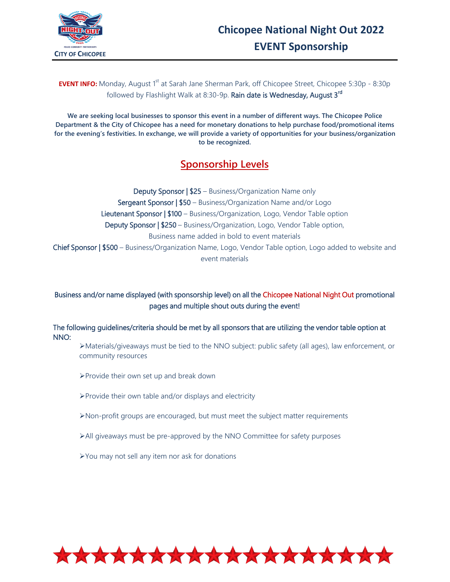## **EVENT INFO:** Monday, August 1<sup>st</sup> at Sarah Jane Sherman Park, off Chicopee Street, Chicopee 5:30p - 8:30p followed by Flashlight Walk at 8:30-9p. Rain date is Wednesday, August 3<sup>rd</sup>

**We are seeking local businesses to sponsor this event in a number of different ways. The Chicopee Police Department & the City of Chicopee has a need for monetary donations to help purchase food/promotional items for the evening's festivities. In exchange, we will provide a variety of opportunities for your business/organization to be recognized.**

# **Sponsorship Levels**

Deputy Sponsor | \$25 – Business/Organization Name only Sergeant Sponsor | \$50 – Business/Organization Name and/or Logo Lieutenant Sponsor | \$100 – Business/Organization, Logo, Vendor Table option Deputy Sponsor | \$250 – Business/Organization, Logo, Vendor Table option, Business name added in bold to event materials Chief Sponsor | \$500 – Business/Organization Name, Logo, Vendor Table option, Logo added to website and event materials

Business and/or name displayed (with sponsorship level) on all the Chicopee National Night Out promotional pages and multiple shout outs during the event!

The following guidelines/criteria should be met by all sponsors that are utilizing the vendor table option at NNO:

Materials/giveaways must be tied to the NNO subject: public safety (all ages), law enforcement, or community resources

- Provide their own set up and break down
- Provide their own table and/or displays and electricity
- Non-profit groups are encouraged, but must meet the subject matter requirements
- All giveaways must be pre-approved by the NNO Committee for safety purposes
- You may not sell any item nor ask for donations